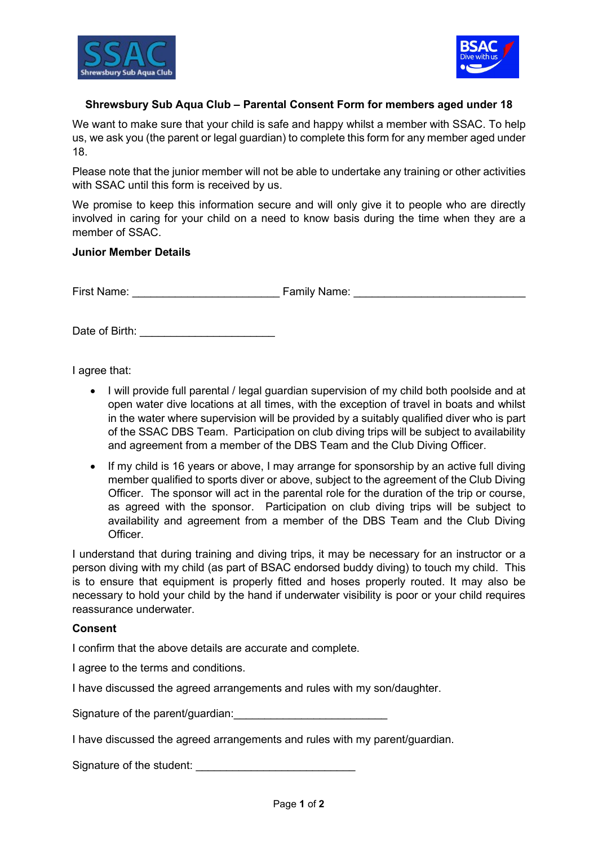



## Shrewsbury Sub Aqua Club – Parental Consent Form for members aged under 18

We want to make sure that your child is safe and happy whilst a member with SSAC. To help us, we ask you (the parent or legal guardian) to complete this form for any member aged under 18.

Please note that the junior member will not be able to undertake any training or other activities with SSAC until this form is received by us.

We promise to keep this information secure and will only give it to people who are directly involved in caring for your child on a need to know basis during the time when they are a member of SSAC.

## Junior Member Details

First Name: The Community Science of Tamily Name:  $\blacksquare$ 

Date of Birth: \_\_\_\_\_\_\_\_\_\_\_\_\_\_\_\_\_\_\_\_\_\_

I agree that:

- I will provide full parental / legal guardian supervision of my child both poolside and at open water dive locations at all times, with the exception of travel in boats and whilst in the water where supervision will be provided by a suitably qualified diver who is part of the SSAC DBS Team. Participation on club diving trips will be subject to availability and agreement from a member of the DBS Team and the Club Diving Officer.
- If my child is 16 years or above, I may arrange for sponsorship by an active full diving member qualified to sports diver or above, subject to the agreement of the Club Diving Officer. The sponsor will act in the parental role for the duration of the trip or course, as agreed with the sponsor. Participation on club diving trips will be subject to availability and agreement from a member of the DBS Team and the Club Diving **Officer**

I understand that during training and diving trips, it may be necessary for an instructor or a person diving with my child (as part of BSAC endorsed buddy diving) to touch my child. This is to ensure that equipment is properly fitted and hoses properly routed. It may also be necessary to hold your child by the hand if underwater visibility is poor or your child requires reassurance underwater.

## Consent

I confirm that the above details are accurate and complete.

I agree to the terms and conditions.

I have discussed the agreed arrangements and rules with my son/daughter.

Signature of the parent/guardian:

I have discussed the agreed arrangements and rules with my parent/guardian.

Signature of the student: